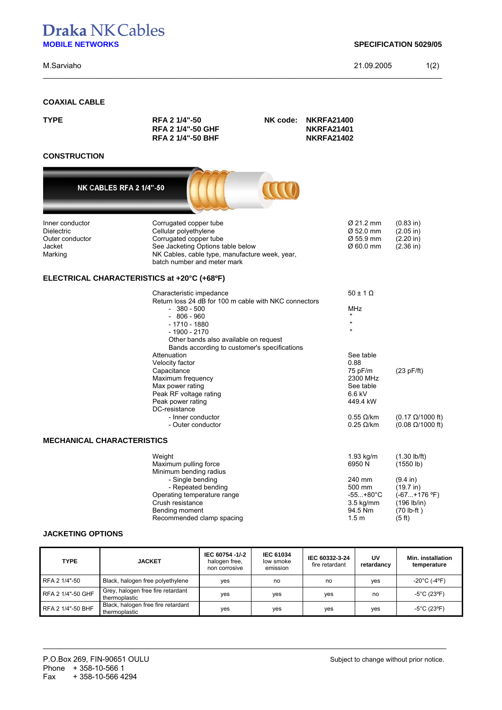# **Draka NK Cables MOBILE NETWORKS SPECIFICATION 5029/05**

M.Sarviaho 21.09.2005 1(2)

## **COAXIAL CABLE**

| RFA 2 1/4"-50<br><b>RFA 2 1/4"-50 GHF</b><br><b>RFA 2 1/4"-50 BHF</b>                                                                                                                                                                                                                            | NK code: | <b>NKRFA21401</b><br><b>NKRFA21402</b>                                                                                                                                                   |                                                                                                                             |
|--------------------------------------------------------------------------------------------------------------------------------------------------------------------------------------------------------------------------------------------------------------------------------------------------|----------|------------------------------------------------------------------------------------------------------------------------------------------------------------------------------------------|-----------------------------------------------------------------------------------------------------------------------------|
|                                                                                                                                                                                                                                                                                                  |          |                                                                                                                                                                                          |                                                                                                                             |
|                                                                                                                                                                                                                                                                                                  |          |                                                                                                                                                                                          |                                                                                                                             |
| NK CABLES RFA 2 1/4"-50                                                                                                                                                                                                                                                                          |          |                                                                                                                                                                                          |                                                                                                                             |
| Corrugated copper tube<br>Cellular polyethylene<br>Corrugated copper tube                                                                                                                                                                                                                        |          | Ø 21.2 mm<br>Ø 52.0 mm<br>Ø 55.9 mm<br>Ø 60.0 mm                                                                                                                                         | (0.83 in)<br>(2.05 in)<br>(2.20 in)<br>$(2.36)$ in)                                                                         |
| ELECTRICAL CHARACTERISTICS at +20°C (+68ºF)                                                                                                                                                                                                                                                      |          |                                                                                                                                                                                          |                                                                                                                             |
| Characteristic impedance<br>$-380 - 500$<br>$-806 - 960$<br>$-1710 - 1880$<br>$-1900 - 2170$<br>Attenuation<br>Velocity factor<br>Capacitance<br>Maximum frequency<br>Max power rating<br>Peak RF voltage rating<br>Peak power rating<br>DC-resistance<br>- Inner conductor<br>- Outer conductor |          | $50 \pm 1 \Omega$<br><b>MHz</b><br>$\mathbf{u}$<br>$\mathbf{u}$<br>See table<br>0.88<br>75 pF/m<br>2300 MHz<br>See table<br>6.6 kV<br>449.4 kW<br>$0.55 \Omega/km$<br>$0.25 \Omega/km$   | (23 pF/ft)<br>$(0.17 \Omega/1000 \text{ ft})$<br>$(0.08 \Omega/1000 \text{ ft})$                                            |
| <b>MECHANICAL CHARACTERISTICS</b>                                                                                                                                                                                                                                                                |          |                                                                                                                                                                                          |                                                                                                                             |
| Weight<br>Maximum pulling force<br>Minimum bending radius<br>- Single bending<br>- Repeated bending<br>Operating temperature range<br>Crush resistance<br>Bending moment                                                                                                                         |          | $1.93$ kg/m<br>6950N<br>240 mm<br>500 mm<br>$-55+80^{\circ}C$<br>$3.5$ kg/mm<br>94.5 Nm<br>1.5 <sub>m</sub>                                                                              | $(1.30 \, lb/ft)$<br>(1550 lb)<br>$(9.4 \text{ in})$<br>(19.7 in)<br>(-67+176 °F)<br>(196 lb/in)<br>$(70 lb-fit)$<br>(5 ft) |
|                                                                                                                                                                                                                                                                                                  |          | See Jacketing Options table below<br>NK Cables, cable type, manufacture week, year,<br>batch number and meter mark<br>Other bands also available on request<br>Recommended clamp spacing | <b>NKRFA21400</b><br>Return loss 24 dB for 100 m cable with NKC connectors<br>Bands according to customer's specifications  |

\_\_\_\_\_\_\_\_\_\_\_\_\_\_\_\_\_\_\_\_\_\_\_\_\_\_\_\_\_\_\_\_\_\_\_\_\_\_\_\_\_\_\_\_\_\_\_\_\_\_\_\_\_\_\_\_\_\_\_\_\_\_\_\_\_\_\_\_\_\_\_\_\_\_\_\_\_\_\_\_\_\_\_\_\_\_\_\_\_\_\_\_\_\_\_

### **JACKETING OPTIONS**

| <b>TYPE</b>       | <b>JACKET</b>                                       | IEC 60754 -1/-2<br>halogen free,<br>non corrosive | <b>IEC 61034</b><br>low smoke<br>emission | IEC 60332-3-24<br>fire retardant | UV<br>retardancv | Min. installation<br>temperature  |
|-------------------|-----------------------------------------------------|---------------------------------------------------|-------------------------------------------|----------------------------------|------------------|-----------------------------------|
| RFA 2 1/4"-50     | Black, halogen free polyethylene                    | yes                                               | no                                        | no                               | ves              | $-20^{\circ}$ C (-4 $^{\circ}$ F) |
| RFA 2 1/4"-50 GHF | Grey, halogen free fire retardant<br>thermoplastic  | ves                                               | ves                                       | ves                              | no               | $-5^{\circ}$ C (23 $^{\circ}$ F)  |
| RFA 2 1/4"-50 BHF | Black, halogen free fire retardant<br>thermoplastic | yes                                               | yes                                       | yes                              | yes              | $-5^{\circ}$ C (23°F)             |

\_\_\_\_\_\_\_\_\_\_\_\_\_\_\_\_\_\_\_\_\_\_\_\_\_\_\_\_\_\_\_\_\_\_\_\_\_\_\_\_\_\_\_\_\_\_\_\_\_\_\_\_\_\_\_\_\_\_\_\_\_\_\_\_\_\_\_\_\_\_\_\_\_\_\_\_\_\_\_\_\_\_\_\_\_\_\_\_\_\_\_\_\_\_\_\_